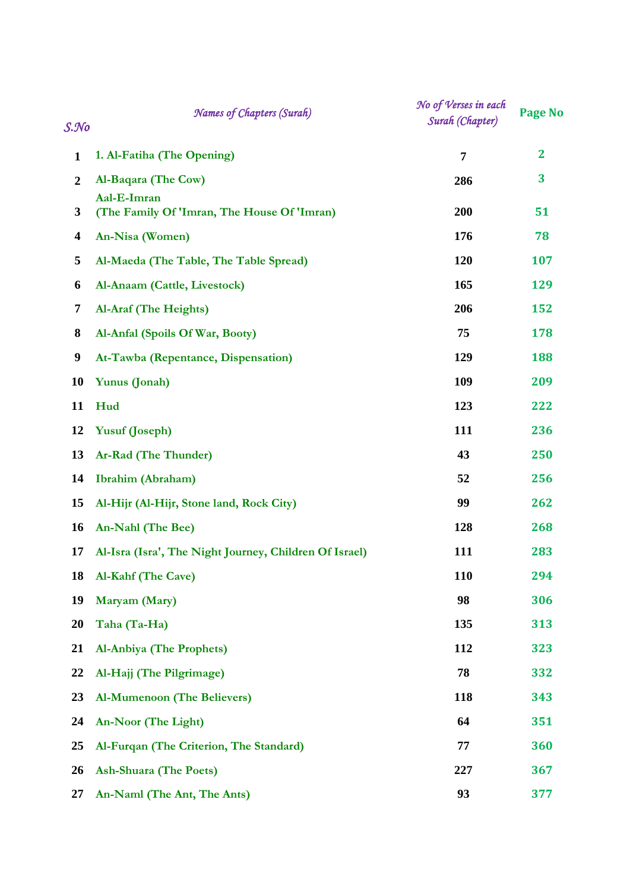| S. No                   | Names of Chapters (Surah)                                  | No of Verses in each<br>Surah (Chapter) | <b>Page No</b> |
|-------------------------|------------------------------------------------------------|-----------------------------------------|----------------|
| $\mathbf{1}$            | 1. Al-Fatiha (The Opening)                                 | $\overline{7}$                          | $\mathbf{2}$   |
| $\overline{2}$          | Al-Baqara (The Cow)                                        | 286                                     | 3              |
| 3                       | Aal-E-Imran<br>(The Family Of 'Imran, The House Of 'Imran) | 200                                     | 51             |
| $\overline{\mathbf{4}}$ | An-Nisa (Women)                                            | 176                                     | 78             |
| 5                       | Al-Maeda (The Table, The Table Spread)                     | 120                                     | 107            |
| 6                       | Al-Anaam (Cattle, Livestock)                               | 165                                     | 129            |
| 7                       | Al-Araf (The Heights)                                      | 206                                     | 152            |
| 8                       | Al-Anfal (Spoils Of War, Booty)                            | 75                                      | 178            |
| $\boldsymbol{9}$        | At-Tawba (Repentance, Dispensation)                        | 129                                     | 188            |
| 10                      | Yunus (Jonah)                                              | 109                                     | 209            |
| 11                      | Hud                                                        | 123                                     | 222            |
| 12                      | <b>Yusuf (Joseph)</b>                                      | 111                                     | 236            |
| 13                      | Ar-Rad (The Thunder)                                       | 43                                      | 250            |
| 14                      | Ibrahim (Abraham)                                          | 52                                      | 256            |
| 15                      | Al-Hijr (Al-Hijr, Stone land, Rock City)                   | 99                                      | 262            |
| 16                      | An-Nahl (The Bee)                                          | 128                                     | 268            |
| 17                      | Al-Isra (Isra', The Night Journey, Children Of Israel)     | <b>111</b>                              | 283            |
| 18                      | <b>Al-Kahf (The Cave)</b>                                  | 110                                     | 294            |
| 19                      | Maryam (Mary)                                              | 98                                      | 306            |
| 20                      | Taha (Ta-Ha)                                               | 135                                     | 313            |
| 21                      | <b>Al-Anbiya (The Prophets)</b>                            | 112                                     | 323            |
| 22                      | Al-Hajj (The Pilgrimage)                                   | 78                                      | 332            |
| 23                      | <b>Al-Mumenoon (The Believers)</b>                         | 118                                     | 343            |
| 24                      | An-Noor (The Light)                                        | 64                                      | 351            |
| 25                      | Al-Furqan (The Criterion, The Standard)                    | 77                                      | 360            |
| 26                      | <b>Ash-Shuara (The Poets)</b>                              | 227                                     | 367            |
| 27                      | An-Naml (The Ant, The Ants)                                | 93                                      | 377            |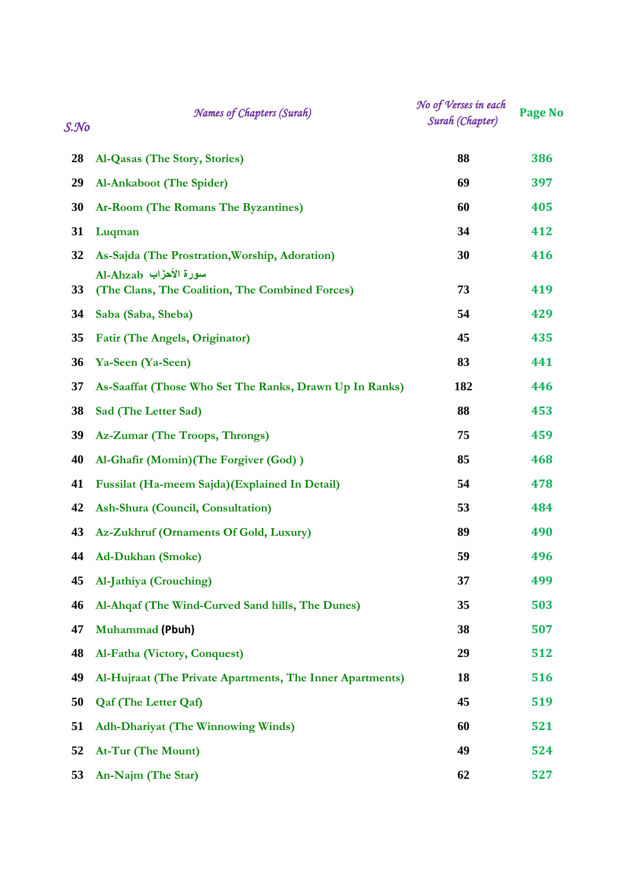| S. No | Names of Chapters (Surah)                                                 | No of Verses in each<br>Surah (Chapter) | <b>Page No</b> |
|-------|---------------------------------------------------------------------------|-----------------------------------------|----------------|
| 28    | Al-Qasas (The Story, Stories)                                             | 88                                      | 386            |
| 29    | Al-Ankaboot (The Spider)                                                  | 69                                      | 397            |
| 30    | Ar-Room (The Romans The Byzantines)                                       | 60                                      | 405            |
| 31    | Luqman                                                                    | 34                                      | 412            |
| 32    | As-Sajda (The Prostration, Worship, Adoration)                            | 30                                      | 416            |
| 33    | سورة الأحزّاب Al-Ahzab<br>(The Clans, The Coalition, The Combined Forces) | 73                                      | 419            |
| 34    | Saba (Saba, Sheba)                                                        | 54                                      | 429            |
| 35    | Fatir (The Angels, Originator)                                            | 45                                      | 435            |
| 36    | Ya-Seen (Ya-Seen)                                                         | 83                                      | 441            |
| 37    | As-Saaffat (Those Who Set The Ranks, Drawn Up In Ranks)                   | 182                                     | 446            |
| 38    | Sad (The Letter Sad)                                                      | 88                                      | 453            |
| 39    | Az-Zumar (The Troops, Throngs)                                            | 75                                      | 459            |
| 40    | Al-Ghafir (Momin) (The Forgiver (God))                                    | 85                                      | 468            |
| 41    | Fussilat (Ha-meem Sajda)(Explained In Detail)                             | 54                                      | 478            |
| 42    | Ash-Shura (Council, Consultation)                                         | 53                                      | 484            |
| 43    | Az-Zukhruf (Ornaments Of Gold, Luxury)                                    | 89                                      | 490            |
| 44    | <b>Ad-Dukhan (Smoke)</b>                                                  | 59                                      | 496            |
| 45    | Al-Jathiya (Crouching)                                                    | 37                                      | 499            |
| 46    | Al-Ahqaf (The Wind-Curved Sand hills, The Dunes)                          | 35                                      | 503            |
| 47    | <b>Muhammad (Pbuh)</b>                                                    | 38                                      | 507            |
| 48    | Al-Fatha (Victory, Conquest)                                              | 29                                      | 512            |
| 49    | Al-Hujraat (The Private Apartments, The Inner Apartments)                 | 18                                      | 516            |
| 50    | <b>Qaf (The Letter Qaf)</b>                                               | 45                                      | 519            |
| 51    | <b>Adh-Dhariyat (The Winnowing Winds)</b>                                 | 60                                      | 521            |
| 52    | At-Tur (The Mount)                                                        | 49                                      | 524            |
| 53    | An-Najm (The Star)                                                        | 62                                      | 527            |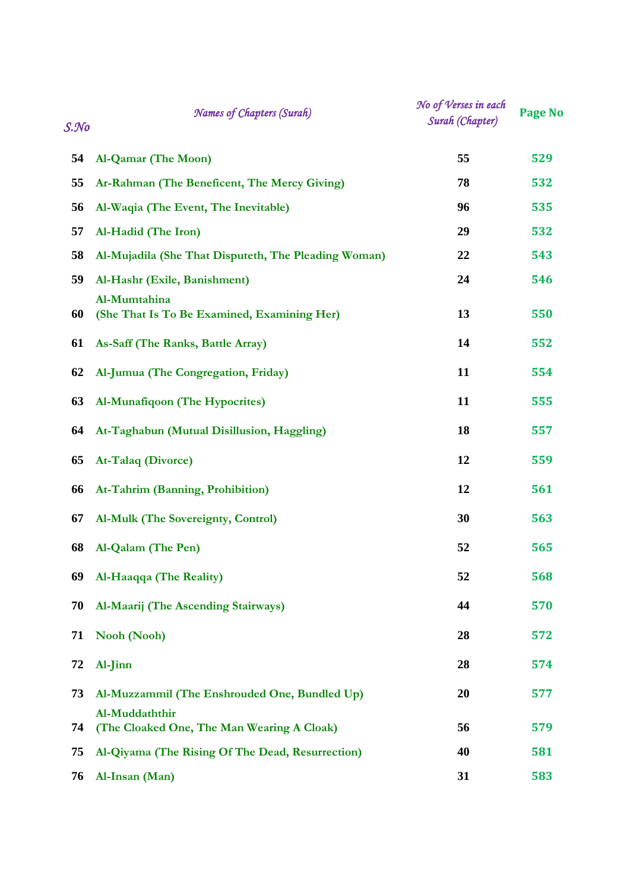| $S.\mathcal{N}o$ | <b>Names of Chapters (Surah)</b>                             | No of Verses in each<br>Surah (Chapter) | <b>Page No</b> |
|------------------|--------------------------------------------------------------|-----------------------------------------|----------------|
| 54               | Al-Qamar (The Moon)                                          | 55                                      | 529            |
| 55               | Ar-Rahman (The Beneficent, The Mercy Giving)                 | 78                                      | 532            |
| 56               | Al-Waqia (The Event, The Inevitable)                         | 96                                      | 535            |
| 57               | Al-Hadid (The Iron)                                          | 29                                      | 532            |
| 58               | Al-Mujadila (She That Disputeth, The Pleading Woman)         | 22                                      | 543            |
| 59               | Al-Hashr (Exile, Banishment)                                 | 24                                      | 546            |
| 60               | Al-Mumtahina<br>(She That Is To Be Examined, Examining Her)  | 13                                      | 550            |
| 61               | As-Saff (The Ranks, Battle Array)                            | 14                                      | 552            |
| 62               | Al-Jumua (The Congregation, Friday)                          | 11                                      | 554            |
| 63               | Al-Munafiqoon (The Hypocrites)                               | 11                                      | 555            |
| 64               | At-Taghabun (Mutual Disillusion, Haggling)                   | 18                                      | 557            |
| 65               | At-Talaq (Divorce)                                           | 12                                      | 559            |
| 66               | At-Tahrim (Banning, Prohibition)                             | 12                                      | 561            |
| 67               | Al-Mulk (The Sovereignty, Control)                           | 30                                      | 563            |
| 68               | Al-Qalam (The Pen)                                           | 52                                      | 565            |
| 69               | Al-Haaqqa (The Reality)                                      | 52                                      | 568            |
| 70               | Al-Maarij (The Ascending Stairways)                          | 44                                      | 570            |
| 71               | Nooh (Nooh)                                                  | 28                                      | 572            |
| 72               | Al-Jinn                                                      | 28                                      | 574            |
| 73               | Al-Muzzammil (The Enshrouded One, Bundled Up)                | 20                                      | 577            |
| 74               | Al-Muddaththir<br>(The Cloaked One, The Man Wearing A Cloak) | 56                                      | 579            |
| 75               | Al-Qiyama (The Rising Of The Dead, Resurrection)             | 40                                      | 581            |
| 76               | Al-Insan (Man)                                               | 31                                      | 583            |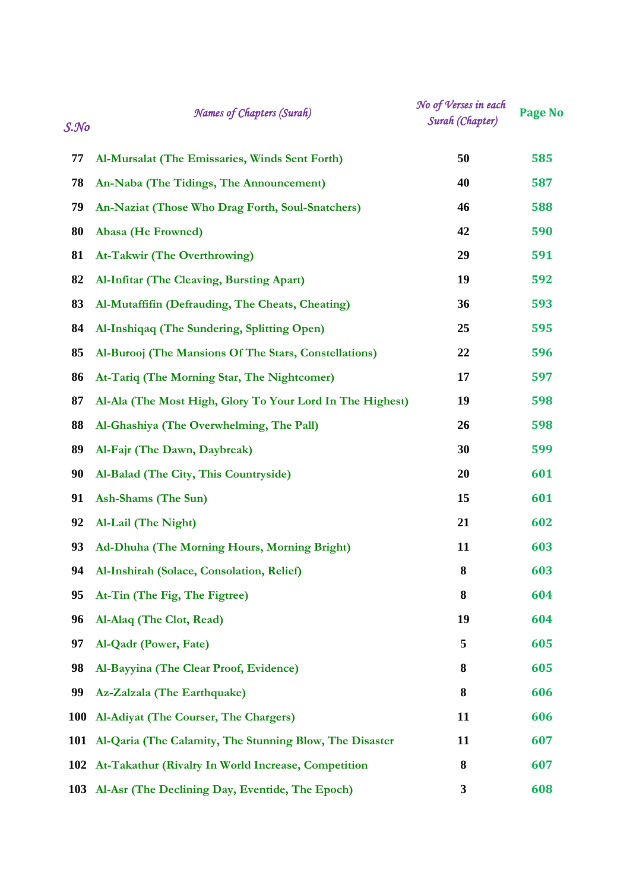| $S.$ No    | Names of Chapters (Surah)                                   | No of Verses in each<br>Surah (Chapter) | Page No |
|------------|-------------------------------------------------------------|-----------------------------------------|---------|
| 77         | Al-Mursalat (The Emissaries, Winds Sent Forth)              | 50                                      | 585     |
| 78         | An-Naba (The Tidings, The Announcement)                     | 40                                      | 587     |
| 79         | An-Naziat (Those Who Drag Forth, Soul-Snatchers)            | 46                                      | 588     |
| 80         | Abasa (He Frowned)                                          | 42                                      | 590     |
| 81         | <b>At-Takwir (The Overthrowing)</b>                         | 29                                      | 591     |
| 82         | Al-Infitar (The Cleaving, Bursting Apart)                   | 19                                      | 592     |
| 83         | Al-Mutaffifin (Defrauding, The Cheats, Cheating)            | 36                                      | 593     |
| 84         | Al-Inshiqaq (The Sundering, Splitting Open)                 | 25                                      | 595     |
| 85         | Al-Burooj (The Mansions Of The Stars, Constellations)       | 22                                      | 596     |
| 86         | At-Tariq (The Morning Star, The Nightcomer)                 | 17                                      | 597     |
| 87         | Al-Ala (The Most High, Glory To Your Lord In The Highest)   | 19                                      | 598     |
| 88         | Al-Ghashiya (The Overwhelming, The Pall)                    | 26                                      | 598     |
| 89         | Al-Fajr (The Dawn, Daybreak)                                | 30                                      | 599     |
| 90         | Al-Balad (The City, This Countryside)                       | 20                                      | 601     |
| 91         | Ash-Shams (The Sun)                                         | 15                                      | 601     |
| 92         | Al-Lail (The Night)                                         | 21                                      | 602     |
| 93         | Ad-Dhuha (The Morning Hours, Morning Bright)                | 11                                      | 603     |
| 94         | Al-Inshirah (Solace, Consolation, Relief)                   | 8                                       | 603     |
| 95         | At-Tin (The Fig, The Figtree)                               | 8                                       | 604     |
| 96         | Al-Alaq (The Clot, Read)                                    | 19                                      | 604     |
| 97         | Al-Qadr (Power, Fate)                                       | 5                                       | 605     |
| 98         | Al-Bayyina (The Clear Proof, Evidence)                      | 8                                       | 605     |
| 99         | Az-Zalzala (The Earthquake)                                 | 8                                       | 606     |
| <b>100</b> | Al-Adiyat (The Courser, The Chargers)                       | 11                                      | 606     |
|            | 101 Al-Qaria (The Calamity, The Stunning Blow, The Disaster | 11                                      | 607     |
|            | 102 At-Takathur (Rivalry In World Increase, Competition     | 8                                       | 607     |
|            | 103 Al-Asr (The Declining Day, Eventide, The Epoch)         | 3                                       | 608     |
|            |                                                             |                                         |         |